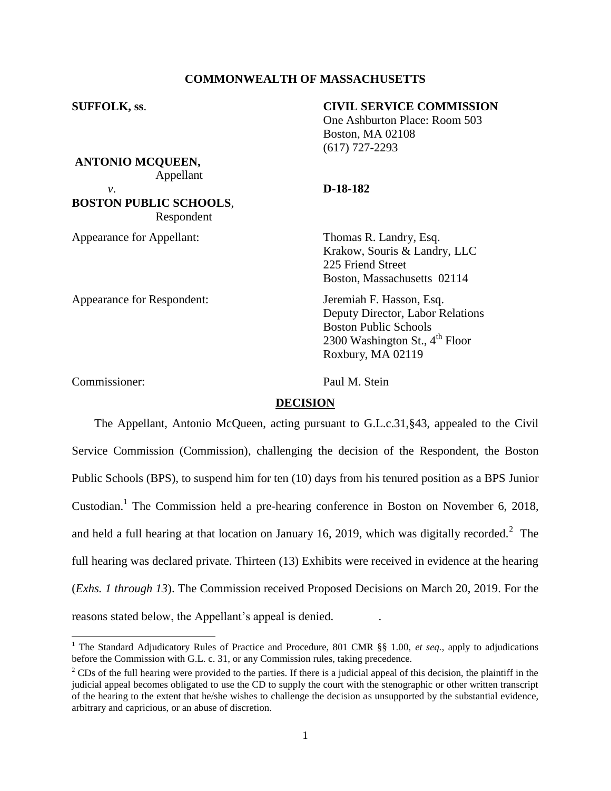## **COMMONWEALTH OF MASSACHUSETTS**

**SUFFOLK, ss**. **CIVIL SERVICE COMMISSION** One Ashburton Place: Room 503 Boston, MA 02108 (617) 727-2293 **ANTONIO MCQUEEN,** Appellant *v*. **D-18-182 BOSTON PUBLIC SCHOOLS**, Respondent Appearance for Appellant: Thomas R. Landry, Esq. Krakow, Souris & Landry, LLC 225 Friend Street Boston, Massachusetts 02114 Appearance for Respondent: Jeremiah F. Hasson, Esq. Deputy Director, Labor Relations Boston Public Schools 2300 Washington St.,  $4^{\text{th}}$  Floor Roxbury, MA 02119

Commissioner: Paul M. Stein

l

## **DECISION**

The Appellant, Antonio McQueen, acting pursuant to G.L.c.31,§43, appealed to the Civil Service Commission (Commission), challenging the decision of the Respondent, the Boston Public Schools (BPS), to suspend him for ten (10) days from his tenured position as a BPS Junior Custodian.<sup>1</sup> The Commission held a pre-hearing conference in Boston on November 6, 2018, and held a full hearing at that location on January 16, 2019, which was digitally recorded.<sup>2</sup> The full hearing was declared private. Thirteen (13) Exhibits were received in evidence at the hearing (*Exhs. 1 through 13*). The Commission received Proposed Decisions on March 20, 2019. For the reasons stated below, the Appellant's appeal is denied. .

<sup>&</sup>lt;sup>1</sup> The Standard Adjudicatory Rules of Practice and Procedure, 801 CMR §§ 1.00, *et seq.*, apply to adjudications before the Commission with G.L. c. 31, or any Commission rules, taking precedence.

<sup>&</sup>lt;sup>2</sup> CDs of the full hearing were provided to the parties. If there is a judicial appeal of this decision, the plaintiff in the judicial appeal becomes obligated to use the CD to supply the court with the stenographic or other written transcript of the hearing to the extent that he/she wishes to challenge the decision as unsupported by the substantial evidence, arbitrary and capricious, or an abuse of discretion.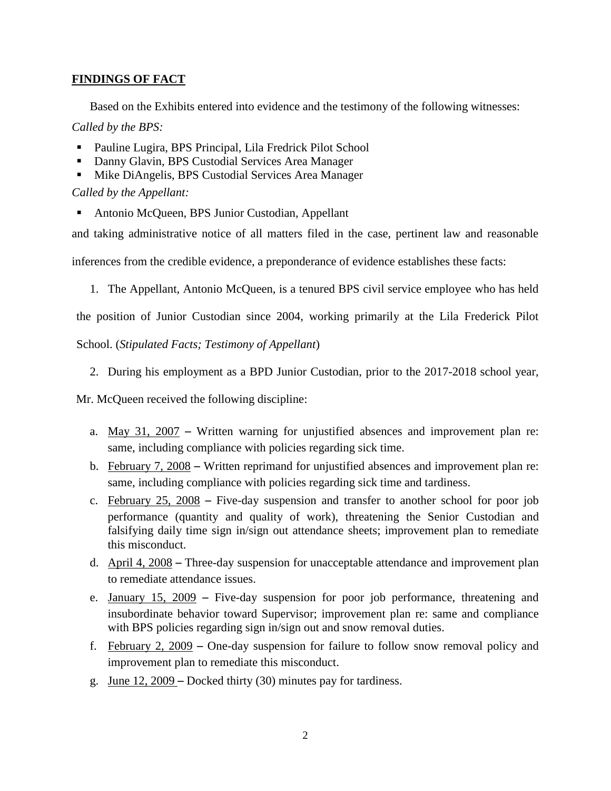# **FINDINGS OF FACT**

Based on the Exhibits entered into evidence and the testimony of the following witnesses:

# *Called by the BPS:*

- Pauline Lugira, BPS Principal, Lila Fredrick Pilot School
- Danny Glavin, BPS Custodial Services Area Manager
- **Mike DiAngelis, BPS Custodial Services Area Manager**

*Called by the Appellant:*

Antonio McQueen, BPS Junior Custodian, Appellant

and taking administrative notice of all matters filed in the case, pertinent law and reasonable

inferences from the credible evidence, a preponderance of evidence establishes these facts:

1. The Appellant, Antonio McQueen, is a tenured BPS civil service employee who has held

the position of Junior Custodian since 2004, working primarily at the Lila Frederick Pilot

School. (*Stipulated Facts; Testimony of Appellant*)

2. During his employment as a BPD Junior Custodian, prior to the 2017-2018 school year,

Mr. McQueen received the following discipline:

- a. May 31, 2007 Written warning for unjustified absences and improvement plan re: same, including compliance with policies regarding sick time.
- b. February 7, 2008 Written reprimand for unjustified absences and improvement plan re: same, including compliance with policies regarding sick time and tardiness.
- c. February 25, 2008 Five-day suspension and transfer to another school for poor job performance (quantity and quality of work), threatening the Senior Custodian and falsifying daily time sign in/sign out attendance sheets; improvement plan to remediate this misconduct.
- d. April 4, 2008 Three-day suspension for unacceptable attendance and improvement plan to remediate attendance issues.
- e. January 15, 2009 Five-day suspension for poor job performance, threatening and insubordinate behavior toward Supervisor; improvement plan re: same and compliance with BPS policies regarding sign in/sign out and snow removal duties.
- f. February 2, 2009 One-day suspension for failure to follow snow removal policy and improvement plan to remediate this misconduct.
- g. June 12, 2009 Docked thirty (30) minutes pay for tardiness.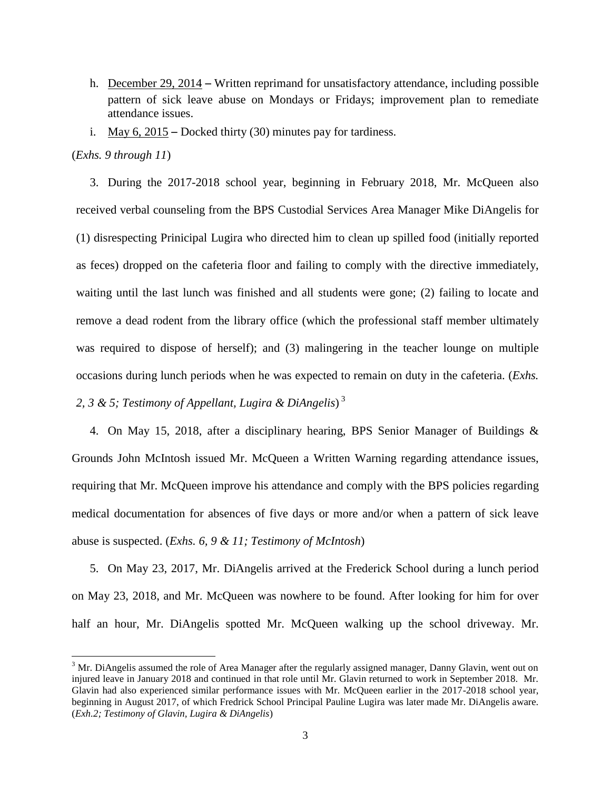- h. December 29, 2014 Written reprimand for unsatisfactory attendance, including possible pattern of sick leave abuse on Mondays or Fridays; improvement plan to remediate attendance issues.
- i. May  $6, 2015$  Docked thirty (30) minutes pay for tardiness.

#### (*Exhs. 9 through 11*)

 $\overline{a}$ 

3. During the 2017-2018 school year, beginning in February 2018, Mr. McQueen also received verbal counseling from the BPS Custodial Services Area Manager Mike DiAngelis for (1) disrespecting Prinicipal Lugira who directed him to clean up spilled food (initially reported as feces) dropped on the cafeteria floor and failing to comply with the directive immediately, waiting until the last lunch was finished and all students were gone; (2) failing to locate and remove a dead rodent from the library office (which the professional staff member ultimately was required to dispose of herself); and (3) malingering in the teacher lounge on multiple occasions during lunch periods when he was expected to remain on duty in the cafeteria. (*Exhs. 2, 3 & 5; Testimony of Appellant, Lugira & DiAngelis*) 3

4. On May 15, 2018, after a disciplinary hearing, BPS Senior Manager of Buildings & Grounds John McIntosh issued Mr. McQueen a Written Warning regarding attendance issues, requiring that Mr. McQueen improve his attendance and comply with the BPS policies regarding medical documentation for absences of five days or more and/or when a pattern of sick leave abuse is suspected. (*Exhs. 6, 9 & 11; Testimony of McIntosh*)

5. On May 23, 2017, Mr. DiAngelis arrived at the Frederick School during a lunch period on May 23, 2018, and Mr. McQueen was nowhere to be found. After looking for him for over half an hour, Mr. DiAngelis spotted Mr. McQueen walking up the school driveway. Mr.

 $3$  Mr. DiAngelis assumed the role of Area Manager after the regularly assigned manager, Danny Glavin, went out on injured leave in January 2018 and continued in that role until Mr. Glavin returned to work in September 2018. Mr. Glavin had also experienced similar performance issues with Mr. McQueen earlier in the 2017-2018 school year, beginning in August 2017, of which Fredrick School Principal Pauline Lugira was later made Mr. DiAngelis aware. (*Exh.2; Testimony of Glavin, Lugira & DiAngelis*)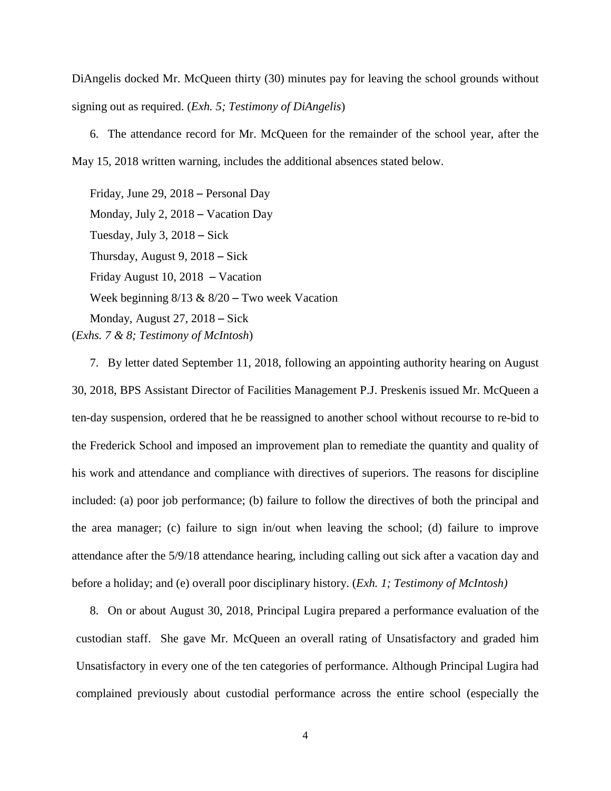DiAngelis docked Mr. McQueen thirty (30) minutes pay for leaving the school grounds without signing out as required. (*Exh. 5; Testimony of DiAngelis*)

6. The attendance record for Mr. McQueen for the remainder of the school year, after the May 15, 2018 written warning, includes the additional absences stated below.

Friday, June 29, 2018 – Personal Day Monday, July 2, 2018 – Vacation Day Tuesday, July 3, 2018 – Sick Thursday, August 9, 2018 – Sick Friday August 10, 2018 – Vacation Week beginning  $8/13 \& 8/20$  – Two week Vacation Monday, August 27, 2018 – Sick (*Exhs. 7 & 8; Testimony of McIntosh*)

7. By letter dated September 11, 2018, following an appointing authority hearing on August 30, 2018, BPS Assistant Director of Facilities Management P.J. Preskenis issued Mr. McQueen a ten-day suspension, ordered that he be reassigned to another school without recourse to re-bid to the Frederick School and imposed an improvement plan to remediate the quantity and quality of his work and attendance and compliance with directives of superiors. The reasons for discipline included: (a) poor job performance; (b) failure to follow the directives of both the principal and the area manager; (c) failure to sign in/out when leaving the school; (d) failure to improve attendance after the 5/9/18 attendance hearing, including calling out sick after a vacation day and before a holiday; and (e) overall poor disciplinary history. (*Exh. 1; Testimony of McIntosh)*

8. On or about August 30, 2018, Principal Lugira prepared a performance evaluation of the custodian staff. She gave Mr. McQueen an overall rating of Unsatisfactory and graded him Unsatisfactory in every one of the ten categories of performance. Although Principal Lugira had complained previously about custodial performance across the entire school (especially the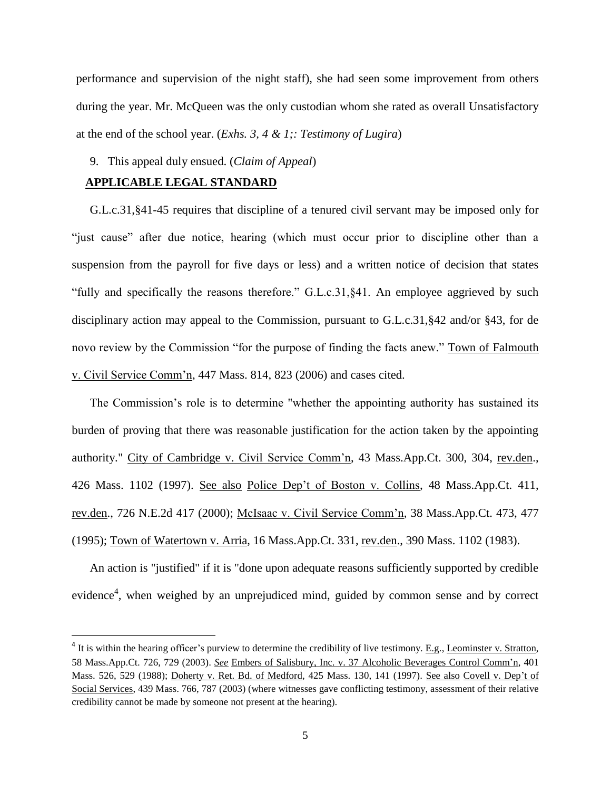performance and supervision of the night staff), she had seen some improvement from others during the year. Mr. McQueen was the only custodian whom she rated as overall Unsatisfactory at the end of the school year. (*Exhs. 3, 4 & 1;: Testimony of Lugira*)

9. This appeal duly ensued. (*Claim of Appeal*)

## **APPLICABLE LEGAL STANDARD**

l

G.L.c.31,§41-45 requires that discipline of a tenured civil servant may be imposed only for "just cause" after due notice, hearing (which must occur prior to discipline other than a suspension from the payroll for five days or less) and a written notice of decision that states "fully and specifically the reasons therefore." G.L.c.31,§41. An employee aggrieved by such disciplinary action may appeal to the Commission, pursuant to G.L.c.31,§42 and/or §43, for de novo review by the Commission "for the purpose of finding the facts anew." Town of Falmouth v. Civil Service Comm'n, 447 Mass. 814, 823 (2006) and cases cited.

The Commission's role is to determine "whether the appointing authority has sustained its burden of proving that there was reasonable justification for the action taken by the appointing authority." City of Cambridge v. Civil Service Comm'n, 43 Mass.App.Ct. 300, 304, rev.den., 426 Mass. 1102 (1997). See also Police Dep't of Boston v. Collins, 48 Mass.App.Ct. 411, rev.den., 726 N.E.2d 417 (2000); McIsaac v. Civil Service Comm'n, 38 Mass.App.Ct. 473, 477 (1995); Town of Watertown v. Arria, 16 Mass.App.Ct. 331, rev.den., 390 Mass. 1102 (1983).

An action is "justified" if it is "done upon adequate reasons sufficiently supported by credible evidence<sup>4</sup>, when weighed by an unprejudiced mind, guided by common sense and by correct

 $4$  It is within the hearing officer's purview to determine the credibility of live testimony. E.g., Leominster v. Stratton, 58 Mass.App.Ct. 726, 729 (2003). *See* Embers of Salisbury, Inc. v. 37 Alcoholic Beverages Control Comm'n, 401 Mass. 526, 529 (1988); Doherty v. Ret. Bd. of Medford, 425 Mass. 130, 141 (1997). See also Covell v. Dep't of Social Services, 439 Mass. 766, 787 (2003) (where witnesses gave conflicting testimony, assessment of their relative credibility cannot be made by someone not present at the hearing).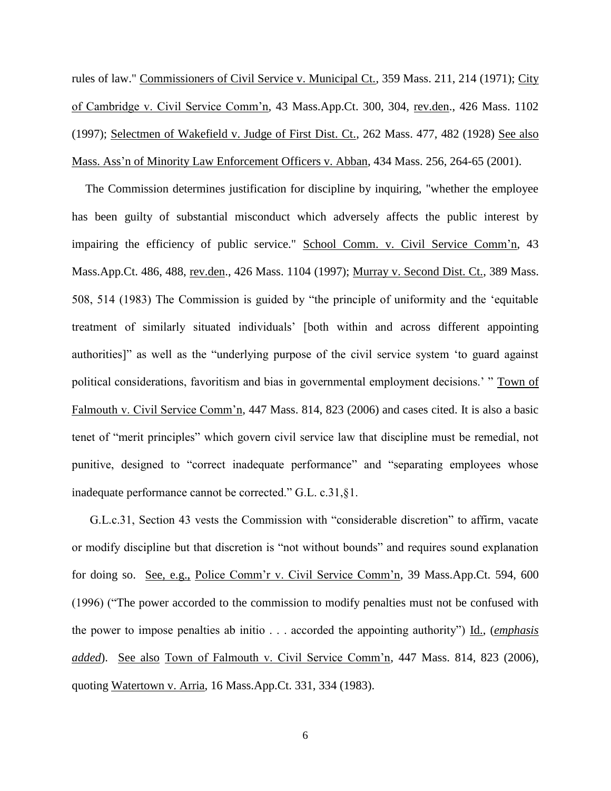rules of law." Commissioners of Civil Service v. Municipal Ct., 359 Mass. 211, 214 (1971); City of Cambridge v. Civil Service Comm'n, 43 Mass.App.Ct. 300, 304, rev.den., 426 Mass. 1102 (1997); Selectmen of Wakefield v. Judge of First Dist. Ct., 262 Mass. 477, 482 (1928) See also Mass. Ass'n of Minority Law Enforcement Officers v. Abban, 434 Mass. 256, 264-65 (2001).

The Commission determines justification for discipline by inquiring, "whether the employee has been guilty of substantial misconduct which adversely affects the public interest by impairing the efficiency of public service." School Comm. v. Civil Service Comm'n, 43 Mass.App.Ct. 486, 488, rev.den., 426 Mass. 1104 (1997); Murray v. Second Dist. Ct., 389 Mass. 508, 514 (1983) The Commission is guided by "the principle of uniformity and the 'equitable treatment of similarly situated individuals' [both within and across different appointing authorities]" as well as the "underlying purpose of the civil service system 'to guard against political considerations, favoritism and bias in governmental employment decisions.' " Town of Falmouth v. Civil Service Comm'n, 447 Mass. 814, 823 (2006) and cases cited. It is also a basic tenet of "merit principles" which govern civil service law that discipline must be remedial, not punitive, designed to "correct inadequate performance" and "separating employees whose inadequate performance cannot be corrected." G.L. c.31,§1.

G.L.c.31, Section 43 vests the Commission with "considerable discretion" to affirm, vacate or modify discipline but that discretion is "not without bounds" and requires sound explanation for doing so. See, e.g., Police Comm'r v. Civil Service Comm'n, 39 Mass.App.Ct. 594, 600 (1996) ("The power accorded to the commission to modify penalties must not be confused with the power to impose penalties ab initio . . . accorded the appointing authority") Id., (*emphasis added*). See also Town of Falmouth v. Civil Service Comm'n, 447 Mass. 814, 823 (2006), quoting Watertown v. Arria, 16 Mass.App.Ct. 331, 334 (1983).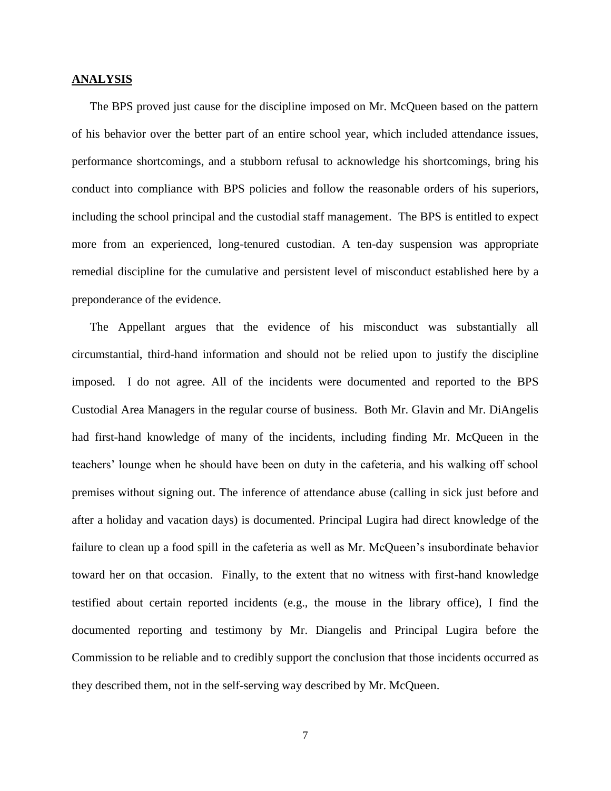#### **ANALYSIS**

The BPS proved just cause for the discipline imposed on Mr. McQueen based on the pattern of his behavior over the better part of an entire school year, which included attendance issues, performance shortcomings, and a stubborn refusal to acknowledge his shortcomings, bring his conduct into compliance with BPS policies and follow the reasonable orders of his superiors, including the school principal and the custodial staff management. The BPS is entitled to expect more from an experienced, long-tenured custodian. A ten-day suspension was appropriate remedial discipline for the cumulative and persistent level of misconduct established here by a preponderance of the evidence.

The Appellant argues that the evidence of his misconduct was substantially all circumstantial, third-hand information and should not be relied upon to justify the discipline imposed. I do not agree. All of the incidents were documented and reported to the BPS Custodial Area Managers in the regular course of business. Both Mr. Glavin and Mr. DiAngelis had first-hand knowledge of many of the incidents, including finding Mr. McQueen in the teachers' lounge when he should have been on duty in the cafeteria, and his walking off school premises without signing out. The inference of attendance abuse (calling in sick just before and after a holiday and vacation days) is documented. Principal Lugira had direct knowledge of the failure to clean up a food spill in the cafeteria as well as Mr. McQueen's insubordinate behavior toward her on that occasion. Finally, to the extent that no witness with first-hand knowledge testified about certain reported incidents (e.g., the mouse in the library office), I find the documented reporting and testimony by Mr. Diangelis and Principal Lugira before the Commission to be reliable and to credibly support the conclusion that those incidents occurred as they described them, not in the self-serving way described by Mr. McQueen.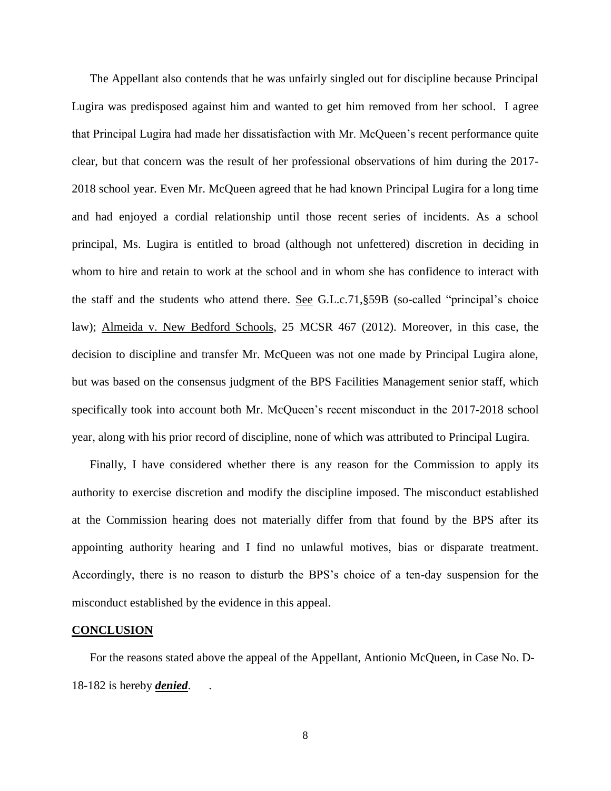The Appellant also contends that he was unfairly singled out for discipline because Principal Lugira was predisposed against him and wanted to get him removed from her school. I agree that Principal Lugira had made her dissatisfaction with Mr. McQueen's recent performance quite clear, but that concern was the result of her professional observations of him during the 2017- 2018 school year. Even Mr. McQueen agreed that he had known Principal Lugira for a long time and had enjoyed a cordial relationship until those recent series of incidents. As a school principal, Ms. Lugira is entitled to broad (although not unfettered) discretion in deciding in whom to hire and retain to work at the school and in whom she has confidence to interact with the staff and the students who attend there. See G.L.c.71,§59B (so-called "principal's choice law); Almeida v. New Bedford Schools, 25 MCSR 467 (2012). Moreover, in this case, the decision to discipline and transfer Mr. McQueen was not one made by Principal Lugira alone, but was based on the consensus judgment of the BPS Facilities Management senior staff, which specifically took into account both Mr. McQueen's recent misconduct in the 2017-2018 school year, along with his prior record of discipline, none of which was attributed to Principal Lugira.

Finally, I have considered whether there is any reason for the Commission to apply its authority to exercise discretion and modify the discipline imposed. The misconduct established at the Commission hearing does not materially differ from that found by the BPS after its appointing authority hearing and I find no unlawful motives, bias or disparate treatment. Accordingly, there is no reason to disturb the BPS's choice of a ten-day suspension for the misconduct established by the evidence in this appeal.

#### **CONCLUSION**

For the reasons stated above the appeal of the Appellant, Antionio McQueen, in Case No. D-18-182 is hereby *denied*. .